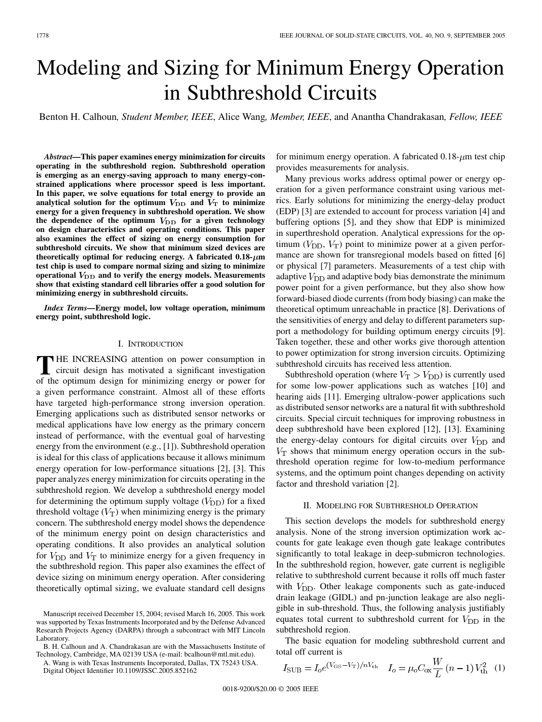# Modeling and Sizing for Minimum Energy Operation in Subthreshold Circuits

Benton H. Calhoun*, Student Member, IEEE*, Alice Wang*, Member, IEEE*, and Anantha Chandrakasan*, Fellow, IEEE*

*Abstract—***This paper examines energy minimization for circuits operating in the subthreshold region. Subthreshold operation is emerging as an energy-saving approach to many energy-constrained applications where processor speed is less important. In this paper, we solve equations for total energy to provide an** analytical solution for the optimum  $V_{\text{DD}}$  and  $V_{\text{T}}$  to minimize **energy for a given frequency in subthreshold operation. We show** the dependence of the optimum  $V_{\text{DD}}$  for a given technology **on design characteristics and operating conditions. This paper also examines the effect of sizing on energy consumption for subthreshold circuits. We show that minimum sized devices are** theoretically optimal for reducing energy. A fabricated  $0.18 - \mu m$ **test chip is used to compare normal sizing and sizing to minimize** operational  $V_{\text{DD}}$  and to verify the energy models. Measurements **show that existing standard cell libraries offer a good solution for minimizing energy in subthreshold circuits.**

*Index Terms—***Energy model, low voltage operation, minimum energy point, subthreshold logic.**

#### I. INTRODUCTION

**T** HE INCREASING attention on power consumption in circuit design has motivated a significant investigation of the optimum design for minimizing energy or power for a given performance constraint. Almost all of these efforts have targeted high-performance strong inversion operation. Emerging applications such as distributed sensor networks or medical applications have low energy as the primary concern instead of performance, with the eventual goal of harvesting energy from the environment (e.g., [\[1](#page-7-0)]). Subthreshold operation is ideal for this class of applications because it allows minimum energy operation for low-performance situations [[2\]](#page-7-0), [[3\]](#page-7-0). This paper analyzes energy minimization for circuits operating in the subthreshold region. We develop a subthreshold energy model for determining the optimum supply voltage  $(V_{\text{DD}})$  for a fixed threshold voltage  $(V_T)$  when minimizing energy is the primary concern. The subthreshold energy model shows the dependence of the minimum energy point on design characteristics and operating conditions. It also provides an analytical solution for  $V_{\text{DD}}$  and  $V_{\text{T}}$  to minimize energy for a given frequency in the subthreshold region. This paper also examines the effect of device sizing on minimum energy operation. After considering theoretically optimal sizing, we evaluate standard cell designs

B. H. Calhoun and A. Chandrakasan are with the Massachusetts Institute of Technology, Cambridge, MA 02139 USA (e-mail: bcalhoun@mtl.mit.edu).

A. Wang is with Texas Instruments Incorporated, Dallas, TX 75243 USA. Digital Object Identifier 10.1109/JSSC.2005.852162

for minimum energy operation. A fabricated  $0.18 - \mu m$  test chip provides measurements for analysis.

Many previous works address optimal power or energy operation for a given performance constraint using various metrics. Early solutions for minimizing the energy-delay product (EDP) [[3\]](#page-7-0) are extended to account for process variation [[4\]](#page-7-0) and buffering options [[5\]](#page-7-0), and they show that EDP is minimized in superthreshold operation. Analytical expressions for the optimum  $(V_{\text{DD}}, V_{\text{T}})$  point to minimize power at a given performance are shown for transregional models based on fitted [\[6](#page-7-0)] or physical [[7\]](#page-7-0) parameters. Measurements of a test chip with adaptive  $V_{\text{DD}}$  and adaptive body bias demonstrate the minimum power point for a given performance, but they also show how forward-biased diode currents (from body biasing) can make the theoretical optimum unreachable in practice [[8\]](#page-7-0). Derivations of the sensitivities of energy and delay to different parameters support a methodology for building optimum energy circuits [[9\]](#page-7-0). Taken together, these and other works give thorough attention to power optimization for strong inversion circuits. Optimizing subthreshold circuits has received less attention.

Subthreshold operation (where  $V_T > V_{DD}$ ) is currently used for some low-power applications such as watches [\[10](#page-7-0)] and hearing aids [\[11](#page-7-0)]. Emerging ultralow-power applications such as distributed sensor networks are a natural fit with subthreshold circuits. Special circuit techniques for improving robustness in deep subthreshold have been explored [\[12](#page-7-0)], [\[13](#page-7-0)]. Examining the energy-delay contours for digital circuits over  $V_{\text{DD}}$  and  $V<sub>T</sub>$  shows that minimum energy operation occurs in the subthreshold operation regime for low-to-medium performance systems, and the optimum point changes depending on activity factor and threshold variation [[2\]](#page-7-0).

## II. MODELING FOR SUBTHRESHOLD OPERATION

This section develops the models for subthreshold energy analysis. None of the strong inversion optimization work accounts for gate leakage even though gate leakage contributes significantly to total leakage in deep-submicron technologies. In the subthreshold region, however, gate current is negligible relative to subthreshold current because it rolls off much faster with  $V_{\text{DD}}$ . Other leakage components such as gate-induced drain leakage (GIDL) and pn-junction leakage are also negligible in sub-threshold. Thus, the following analysis justifiably equates total current to subthreshold current for  $V_{\text{DD}}$  in the subthreshold region.

The basic equation for modeling subthreshold current and total off current is

$$
I_{\rm{SUB}} = I_o e^{(V_{\rm{GS}} - V_{\rm{T}})/nV_{\rm{th}}} \quad I_o = \mu_o C_{\rm{ox}} \frac{W}{L} (n-1) V_{\rm{th}}^2 \tag{1}
$$

Manuscript received December 15, 2004; revised March 16, 2005. This work was supported by Texas Instruments Incorporated and by the Defense Advanced Research Projects Agency (DARPA) through a subcontract with MIT Lincoln Laboratory.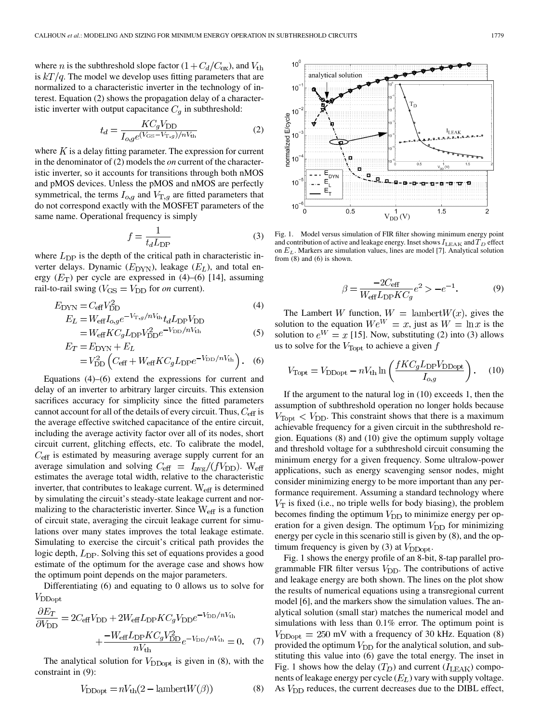where *n* is the subthreshold slope factor  $(1 + C_d/C_{ox})$ , and  $V_{th}$ is  $kT/q$ . The model we develop uses fitting parameters that are normalized to a characteristic inverter in the technology of interest. Equation (2) shows the propagation delay of a characteristic inverter with output capacitance  $C_q$  in subthreshold:

$$
t_d = \frac{KC_g V_{\text{DD}}}{I_{o,q}e^{(V_{\text{GS}} - V_{\text{T},g})/nV_{\text{th}}}}
$$
(2)

where  $K$  is a delay fitting parameter. The expression for current in the denominator of (2) models the *on* current of the characteristic inverter, so it accounts for transitions through both nMOS and pMOS devices. Unless the pMOS and nMOS are perfectly symmetrical, the terms  $I_{o,g}$  and  $V_{\mathrm{T},g}$  are fitted parameters that do not correspond exactly with the MOSFET parameters of the same name. Operational frequency is simply

$$
f = \frac{1}{t_d L_{\rm DP}}\tag{3}
$$

where  $L_{\text{DP}}$  is the depth of the critical path in characteristic inverter delays. Dynamic  $(E_{\text{DYN}})$ , leakage  $(E_L)$ , and total energy  $(E_T)$  per cycle are expressed in (4)–(6) [[14\]](#page-7-0), assuming rail-to-rail swing ( $V_{\text{GS}} = V_{\text{DD}}$  for *on* current).

$$
E_{\text{DYN}} = C_{\text{eff}} V_{\text{DD}}^2 \tag{4}
$$
  
\n
$$
E_L = W_{\text{eff}} I_{o,g} e^{-V_{\text{T},g}/nV_{\text{th}}} t_d L_{\text{DP}} V_{\text{DD}} \tag{4}
$$

$$
=W_{\text{eff}}KC_{g}L_{\text{DP}}V_{\text{DD}}^{2}e^{-V_{\text{DD}}/n_{V_{\text{th}}}}
$$
(5)  

$$
E_{T} = E_{\text{DYN}} + E_{L}
$$

$$
=V_{\rm DD}^2 \left( C_{\rm eff} + W_{\rm eff} K C_g L_{\rm DP} e^{-V_{\rm DD}/nV_{\rm th}} \right). \quad (6)
$$

Equations (4)–(6) extend the expressions for current and delay of an inverter to arbitrary larger circuits. This extension sacrifices accuracy for simplicity since the fitted parameters cannot account for all of the details of every circuit. Thus,  $C_{\text{eff}}$  is the average effective switched capacitance of the entire circuit, including the average activity factor over all of its nodes, short circuit current, glitching effects, etc. To calibrate the model,  $C_{\text{eff}}$  is estimated by measuring average supply current for an average simulation and solving  $C_{\text{eff}} = I_{\text{avg}} / (fV_{\text{DD}})$ . W<sub>eff</sub> estimates the average total width, relative to the characteristic inverter, that contributes to leakage current.  $W_{\text{eff}}$  is determined by simulating the circuit's steady-state leakage current and normalizing to the characteristic inverter. Since  $W_{\text{eff}}$  is a function of circuit state, averaging the circuit leakage current for simulations over many states improves the total leakage estimate. Simulating to exercise the circuit's critical path provides the logic depth,  $L_{\text{DP}}$ . Solving this set of equations provides a good estimate of the optimum for the average case and shows how the optimum point depends on the major parameters.

Differentiating (6) and equating to 0 allows us to solve for  $V_{\text{DDopt}}$ 

$$
\frac{\partial E_T}{\partial V_{\text{DD}}} = 2C_{\text{eff}}V_{\text{DD}} + 2W_{\text{eff}}L_{\text{DP}}KC_gV_{\text{DD}}e^{-V_{\text{DD}}/nV_{\text{th}}}
$$

$$
+ \frac{-W_{\text{eff}}L_{\text{DP}}KC_gV_{\text{DD}}^2}{nV_{\text{th}}}e^{-V_{\text{DD}}/nV_{\text{th}}} = 0. \quad (7)
$$

The analytical solution for  $V_{\text{DDopt}}$  is given in (8), with the constraint in (9):

$$
V_{\text{DDopt}} = nV_{\text{th}}(2 - \text{lambert}W(\beta))\tag{8}
$$



Fig. 1. Model versus simulation of FIR filter showing minimum energy point and contribution of active and leakage energy. Inset shows  $I_{\text{LEAK}}$  and  $T_D$  effect on  $E_L$ . Markers are simulation values, lines are model [[7\]](#page-7-0). Analytical solution from (8) and (6) is shown.

$$
\beta = \frac{-2C_{\text{eff}}}{W_{\text{eff}}L_{\text{DP}}KC_g}e^2 > -e^{-1}.
$$
 (9)

The Lambert W function,  $W = \text{lambda}W(x)$ , gives the solution to the equation  $We^{W} = x$ , just as  $W = \ln x$  is the solution to  $e^W = x$  [\[15](#page-7-0)]. Now, substituting (2) into (3) allows us to solve for the  $V_{\text{Topt}}$  to achieve a given f

$$
V_{\rm Topt} = V_{\rm DDopt} - nV_{\rm th} \ln \left( \frac{f K C_g L_{\rm DP} V_{\rm DDopt}}{I_{o,g}} \right). \tag{10}
$$

If the argument to the natural log in (10) exceeds 1, then the assumption of subthreshold operation no longer holds because  $V_{\text{T}^{0}$   $\leq$   $V_{\text{DD}}$ . This constraint shows that there is a maximum achievable frequency for a given circuit in the subthreshold region. Equations (8) and (10) give the optimum supply voltage and threshold voltage for a subthreshold circuit consuming the minimum energy for a given frequency. Some ultralow-power applications, such as energy scavenging sensor nodes, might consider minimizing energy to be more important than any performance requirement. Assuming a standard technology where  $V<sub>T</sub>$  is fixed (i.e., no triple wells for body biasing), the problem becomes finding the optimum  $V_{\text{DD}}$  to minimize energy per operation for a given design. The optimum  $V_{\text{DD}}$  for minimizing energy per cycle in this scenario still is given by (8), and the optimum frequency is given by (3) at  $V_{\text{DDopt}}$ .

Fig. 1 shows the energy profile of an 8-bit, 8-tap parallel programmable FIR filter versus  $V_{\text{DD}}$ . The contributions of active and leakage energy are both shown. The lines on the plot show the results of numerical equations using a transregional current model [[6\]](#page-7-0), and the markers show the simulation values. The analytical solution (small star) matches the numerical model and simulations with less than 0.1% error. The optimum point is  $V_{\text{DDoot}} = 250 \text{ mV}$  with a frequency of 30 kHz. Equation (8) provided the optimum  $V_{\text{DD}}$  for the analytical solution, and substituting this value into (6) gave the total energy. The inset in Fig. 1 shows how the delay  $(T_D)$  and current  $(I_{\text{LEAK}})$  components of leakage energy per cycle  $(E_L)$  vary with supply voltage. As  $V_{\text{DD}}$  reduces, the current decreases due to the DIBL effect,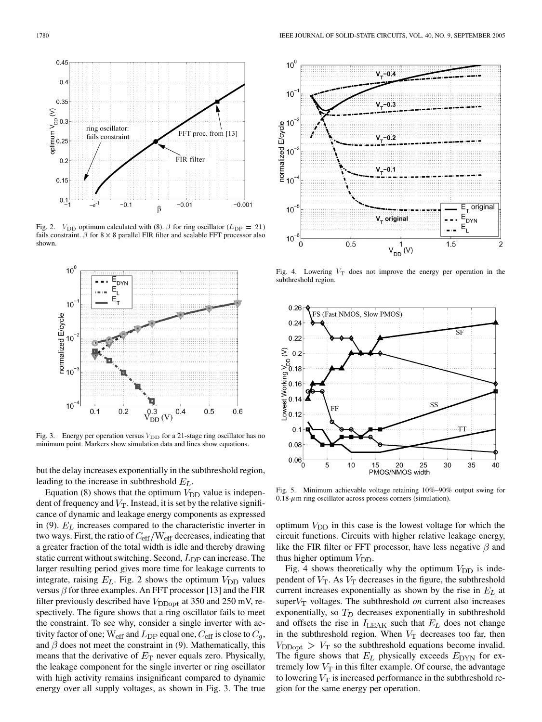

Fig. 2.  $V_{\text{DD}}$  optimum calculated with (8).  $\beta$  for ring oscillator ( $L_{\text{DP}} = 21$ ) fails constraint.  $\beta$  for 8  $\times$  8 parallel FIR filter and scalable FFT processor also shown.



Fig. 3. Energy per operation versus  $V_{\text{DD}}$  for a 21-stage ring oscillator has no minimum point. Markers show simulation data and lines show equations.

but the delay increases exponentially in the subthreshold region, leading to the increase in subthreshold  $E_L$ .

Equation (8) shows that the optimum  $V_{\text{DD}}$  value is independent of frequency and  $V_T$ . Instead, it is set by the relative significance of dynamic and leakage energy components as expressed in (9).  $E_L$  increases compared to the characteristic inverter in two ways. First, the ratio of  $C_{\text{eff}}/W_{\text{eff}}$  decreases, indicating that a greater fraction of the total width is idle and thereby drawing static current without switching. Second,  $L_{\rm DP}$  can increase. The larger resulting period gives more time for leakage currents to integrate, raising  $E_L$ . Fig. 2 shows the optimum  $V_{\text{DD}}$  values versus  $\beta$  for three examples. An FFT processor [\[13](#page-7-0)] and the FIR filter previously described have  $V_{\text{DDopt}}$  at 350 and 250 mV, respectively. The figure shows that a ring oscillator fails to meet the constraint. To see why, consider a single inverter with activity factor of one;  $W_{\text{eff}}$  and  $L_{\text{DP}}$  equal one,  $C_{\text{eff}}$  is close to  $C_g$ , and  $\beta$  does not meet the constraint in (9). Mathematically, this means that the derivative of  $E_T$  never equals zero. Physically, the leakage component for the single inverter or ring oscillator with high activity remains insignificant compared to dynamic energy over all supply voltages, as shown in Fig. 3. The true



Fig. 4. Lowering  $V_T$  does not improve the energy per operation in the subthreshold region.



Fig. 5. Minimum achievable voltage retaining 10%–90% output swing for  $0.18-\mu$ m ring oscillator across process corners (simulation).

optimum  $V_{\text{DD}}$  in this case is the lowest voltage for which the circuit functions. Circuits with higher relative leakage energy, like the FIR filter or FFT processor, have less negative  $\beta$  and thus higher optimum  $V_{\text{DD}}$ .

Fig. 4 shows theoretically why the optimum  $V_{\text{DD}}$  is independent of  $V_T$ . As  $V_T$  decreases in the figure, the subthreshold current increases exponentially as shown by the rise in  $E_L$  at super $V_T$  voltages. The subthreshold *on* current also increases exponentially, so  $T_D$  decreases exponentially in subthreshold and offsets the rise in  $I_{\text{LEAK}}$  such that  $E_L$  does not change in the subthreshold region. When  $V_T$  decreases too far, then  $V_{\text{DDopt}} > V_{\text{T}}$  so the subthreshold equations become invalid. The figure shows that  $E_L$  physically exceeds  $E_{\text{DYN}}$  for extremely low  $V_T$  in this filter example. Of course, the advantage to lowering  $V_T$  is increased performance in the subthreshold region for the same energy per operation.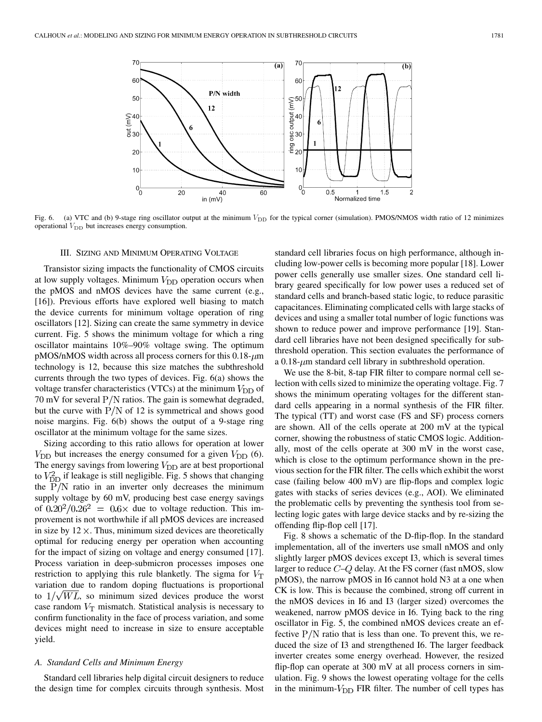

Fig. 6. (a) VTC and (b) 9-stage ring oscillator output at the minimum  $V_{\text{DD}}$  for the typical corner (simulation). PMOS/NMOS width ratio of 12 minimizes operational  $V_{\text{DD}}$  but increases energy consumption.

#### III. SIZING AND MINIMUM OPERATING VOLTAGE

Transistor sizing impacts the functionality of CMOS circuits at low supply voltages. Minimum  $V_{\text{DD}}$  operation occurs when the pMOS and nMOS devices have the same current (e.g., [\[16](#page-7-0)]). Previous efforts have explored well biasing to match the device currents for minimum voltage operation of ring oscillators [[12\]](#page-7-0). Sizing can create the same symmetry in device current. Fig. 5 shows the minimum voltage for which a ring oscillator maintains 10%–90% voltage swing. The optimum  $pMOS/nMOS$  width across all process corners for this  $0.18 - \mu m$ technology is 12, because this size matches the subthreshold currents through the two types of devices. Fig. 6(a) shows the voltage transfer characteristics (VTCs) at the minimum  $V_{\text{DD}}$  of 70 mV for several  $P/N$  ratios. The gain is somewhat degraded, but the curve with  $P/N$  of 12 is symmetrical and shows good noise margins. Fig. 6(b) shows the output of a 9-stage ring oscillator at the minimum voltage for the same sizes.

Sizing according to this ratio allows for operation at lower  $V_{\text{DD}}$  but increases the energy consumed for a given  $V_{\text{DD}}$  (6). The energy savings from lowering  $V_{\text{DD}}$  are at best proportional to  $V_{\text{DD}}^2$  if leakage is still negligible. Fig. 5 shows that changing the  $P/N$  ratio in an inverter only decreases the minimum supply voltage by 60 mV, producing best case energy savings of  $0.20^2/0.26^2 = 0.6 \times$  due to voltage reduction. This improvement is not worthwhile if all pMOS devices are increased in size by  $12 \times$ . Thus, minimum sized devices are theoretically optimal for reducing energy per operation when accounting for the impact of sizing on voltage and energy consumed [\[17](#page-7-0)]. Process variation in deep-submicron processes imposes one restriction to applying this rule blanketly. The sigma for  $V_T$ variation due to random doping fluctuations is proportional to  $1/\sqrt{WL}$ , so minimum sized devices produce the worst case random  $V_T$  mismatch. Statistical analysis is necessary to confirm functionality in the face of process variation, and some devices might need to increase in size to ensure acceptable yield.

#### *A. Standard Cells and Minimum Energy*

Standard cell libraries help digital circuit designers to reduce the design time for complex circuits through synthesis. Most standard cell libraries focus on high performance, although including low-power cells is becoming more popular [\[18](#page-7-0)]. Lower power cells generally use smaller sizes. One standard cell library geared specifically for low power uses a reduced set of standard cells and branch-based static logic, to reduce parasitic capacitances. Eliminating complicated cells with large stacks of devices and using a smaller total number of logic functions was shown to reduce power and improve performance [[19\]](#page-7-0). Standard cell libraries have not been designed specifically for subthreshold operation. This section evaluates the performance of a  $0.18 - \mu m$  standard cell library in subthreshold operation.

We use the 8-bit, 8-tap FIR filter to compare normal cell selection with cells sized to minimize the operating voltage. Fig. 7 shows the minimum operating voltages for the different standard cells appearing in a normal synthesis of the FIR filter. The typical (TT) and worst case (FS and SF) process corners are shown. All of the cells operate at 200 mV at the typical corner, showing the robustness of static CMOS logic. Additionally, most of the cells operate at 300 mV in the worst case, which is close to the optimum performance shown in the previous section for the FIR filter. The cells which exhibit the worst case (failing below 400 mV) are flip-flops and complex logic gates with stacks of series devices (e.g., AOI). We eliminated the problematic cells by preventing the synthesis tool from selecting logic gates with large device stacks and by re-sizing the offending flip-flop cell [[17\]](#page-7-0).

Fig. 8 shows a schematic of the D-flip-flop. In the standard implementation, all of the inverters use small nMOS and only slightly larger pMOS devices except I3, which is several times larger to reduce  $C-Q$  delay. At the FS corner (fast nMOS, slow pMOS), the narrow pMOS in I6 cannot hold N3 at a one when CK is low. This is because the combined, strong off current in the nMOS devices in I6 and I3 (larger sized) overcomes the weakened, narrow pMOS device in I6. Tying back to the ring oscillator in Fig. 5, the combined nMOS devices create an effective  $P/N$  ratio that is less than one. To prevent this, we reduced the size of I3 and strengthened I6. The larger feedback inverter creates some energy overhead. However, the resized flip-flop can operate at 300 mV at all process corners in simulation. Fig. 9 shows the lowest operating voltage for the cells in the minimum- $V_{\text{DD}}$  FIR filter. The number of cell types has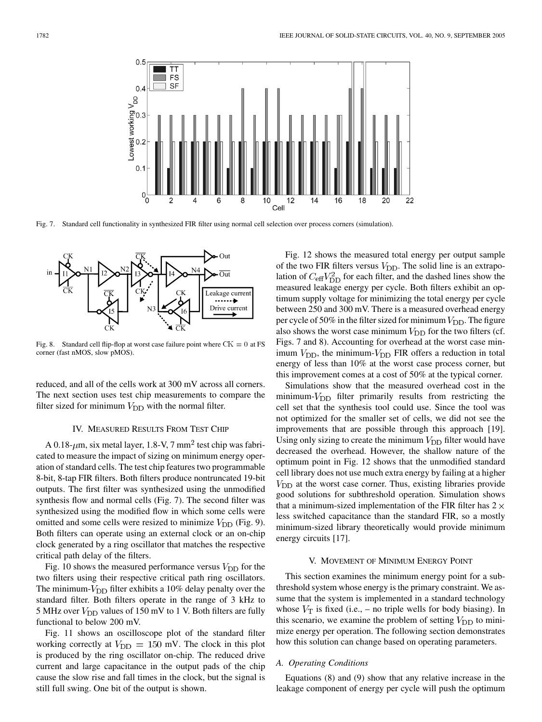

Fig. 7. Standard cell functionality in synthesized FIR filter using normal cell selection over process corners (simulation).



Fig. 8. Standard cell flip-flop at worst case failure point where  $CK = 0$  at FS corner (fast nMOS, slow pMOS).

reduced, and all of the cells work at 300 mV across all corners. The next section uses test chip measurements to compare the filter sized for minimum  $V_{\text{DD}}$  with the normal filter.

#### IV. MEASURED RESULTS FROM TEST CHIP

A 0.18- $\mu$ m, six metal layer, 1.8-V, 7 mm<sup>2</sup> test chip was fabricated to measure the impact of sizing on minimum energy operation of standard cells. The test chip features two programmable 8-bit, 8-tap FIR filters. Both filters produce nontruncated 19-bit outputs. The first filter was synthesized using the unmodified synthesis flow and normal cells (Fig. 7). The second filter was synthesized using the modified flow in which some cells were omitted and some cells were resized to minimize  $V_{\text{DD}}$  (Fig. 9). Both filters can operate using an external clock or an on-chip clock generated by a ring oscillator that matches the respective critical path delay of the filters.

Fig. 10 shows the measured performance versus  $V_{\text{DD}}$  for the two filters using their respective critical path ring oscillators. The minimum- $V_{\text{DD}}$  filter exhibits a 10% delay penalty over the standard filter. Both filters operate in the range of 3 kHz to 5 MHz over  $V_{\text{DD}}$  values of 150 mV to 1 V. Both filters are fully functional to below 200 mV.

Fig. 11 shows an oscilloscope plot of the standard filter working correctly at  $V_{\text{DD}} = 150 \text{ mV}$ . The clock in this plot is produced by the ring oscillator on-chip. The reduced drive current and large capacitance in the output pads of the chip cause the slow rise and fall times in the clock, but the signal is still full swing. One bit of the output is shown.

Fig. 12 shows the measured total energy per output sample of the two FIR filters versus  $V_{\text{DD}}$ . The solid line is an extrapolation of  $C_{\text{eff}}V_{\text{DD}}^2$  for each filter, and the dashed lines show the measured leakage energy per cycle. Both filters exhibit an optimum supply voltage for minimizing the total energy per cycle between 250 and 300 mV. There is a measured overhead energy per cycle of 50% in the filter sized for minimum  $V_{\text{DD}}$ . The figure also shows the worst case minimum  $V_{\text{DD}}$  for the two filters (cf. Figs. 7 and 8). Accounting for overhead at the worst case minimum  $V_{\text{DD}}$ , the minimum- $V_{\text{DD}}$  FIR offers a reduction in total energy of less than 10% at the worst case process corner, but this improvement comes at a cost of 50% at the typical corner.

Simulations show that the measured overhead cost in the minimum- $V_{\text{DD}}$  filter primarily results from restricting the cell set that the synthesis tool could use. Since the tool was not optimized for the smaller set of cells, we did not see the improvements that are possible through this approach [[19\]](#page-7-0). Using only sizing to create the minimum  $V_{\text{DD}}$  filter would have decreased the overhead. However, the shallow nature of the optimum point in Fig. 12 shows that the unmodified standard cell library does not use much extra energy by failing at a higher  $V<sub>DD</sub>$  at the worst case corner. Thus, existing libraries provide good solutions for subthreshold operation. Simulation shows that a minimum-sized implementation of the FIR filter has  $2 \times$ less switched capacitance than the standard FIR, so a mostly minimum-sized library theoretically would provide minimum energy circuits [[17\]](#page-7-0).

## V. MOVEMENT OF MINIMUM ENERGY POINT

This section examines the minimum energy point for a subthreshold system whose energy is the primary constraint. We assume that the system is implemented in a standard technology whose  $V_T$  is fixed (i.e., – no triple wells for body biasing). In this scenario, we examine the problem of setting  $V_{\text{DD}}$  to minimize energy per operation. The following section demonstrates how this solution can change based on operating parameters.

## *A. Operating Conditions*

Equations (8) and (9) show that any relative increase in the leakage component of energy per cycle will push the optimum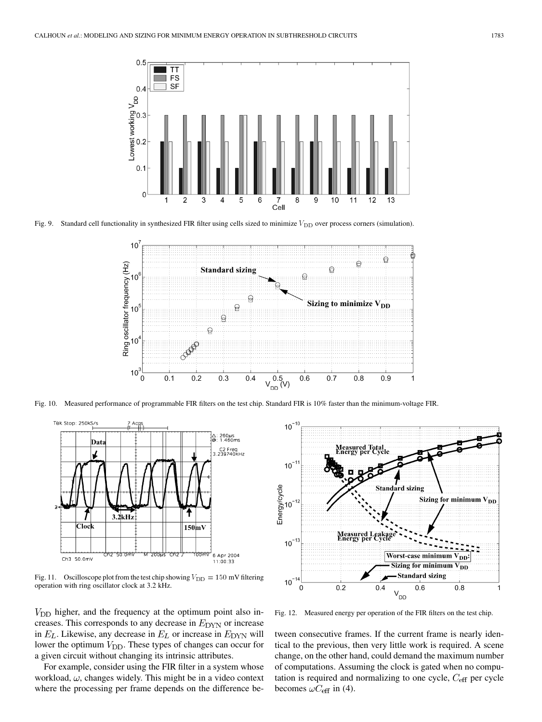

Fig. 9. Standard cell functionality in synthesized FIR filter using cells sized to minimize  $V_{\text{DD}}$  over process corners (simulation).



Fig. 10. Measured performance of programmable FIR filters on the test chip. Standard FIR is 10% faster than the minimum-voltage FIR.



Fig. 11. Oscilloscope plot from the test chip showing  $V_{\text{DD}} = 150 \text{ mV}$  filtering operation with ring oscillator clock at 3.2 kHz.

 $V<sub>DD</sub>$  higher, and the frequency at the optimum point also increases. This corresponds to any decrease in  $E_{\text{DYN}}$  or increase in  $E_L$ . Likewise, any decrease in  $E_L$  or increase in  $E_{\text{DYN}}$  will lower the optimum  $V_{\text{DD}}$ . These types of changes can occur for a given circuit without changing its intrinsic attributes.

For example, consider using the FIR filter in a system whose workload,  $\omega$ , changes widely. This might be in a video context where the processing per frame depends on the difference be-



Fig. 12. Measured energy per operation of the FIR filters on the test chip.

tween consecutive frames. If the current frame is nearly identical to the previous, then very little work is required. A scene change, on the other hand, could demand the maximum number of computations. Assuming the clock is gated when no computation is required and normalizing to one cycle,  $C_{\text{eff}}$  per cycle becomes  $\omega C_{\text{eff}}$  in (4).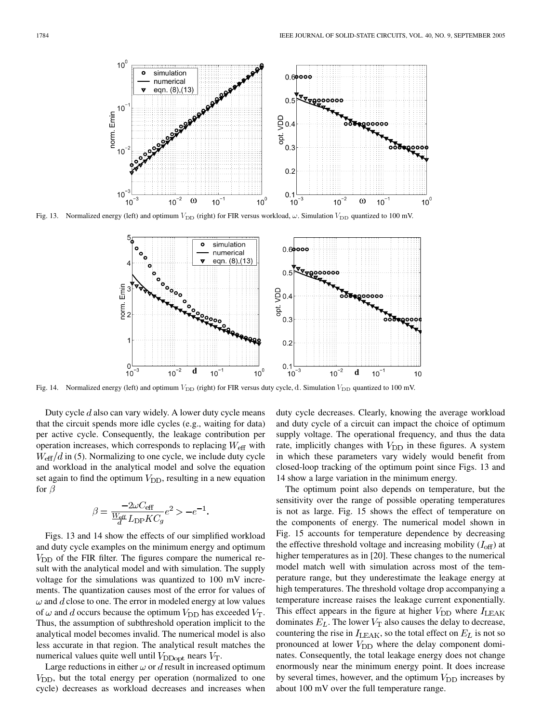

Fig. 13. Normalized energy (left) and optimum  $V_{\rm DD}$  (right) for FIR versus workload,  $\omega$ . Simulation  $V_{\rm DD}$  quantized to 100 mV.



Fig. 14. Normalized energy (left) and optimum  $V_{\rm DD}$  (right) for FIR versus duty cycle, d. Simulation  $V_{\rm DD}$  quantized to 100 mV.

Duty cycle  $d$  also can vary widely. A lower duty cycle means that the circuit spends more idle cycles (e.g., waiting for data) per active cycle. Consequently, the leakage contribution per operation increases, which corresponds to replacing  $W_{\text{eff}}$  with  $W_{\text{eff}}/d$  in (5). Normalizing to one cycle, we include duty cycle and workload in the analytical model and solve the equation set again to find the optimum  $V_{\text{DD}}$ , resulting in a new equation for  $\beta$ 

$$
\beta = \frac{-2\omega C_{\text{eff}}}{\frac{W_{\text{eff}}}{d}L_{\text{DP}}KC_g}e^2 > -e^{-1}.
$$

Figs. 13 and 14 show the effects of our simplified workload and duty cycle examples on the minimum energy and optimum  $V_{\text{DD}}$  of the FIR filter. The figures compare the numerical result with the analytical model and with simulation. The supply voltage for the simulations was quantized to 100 mV increments. The quantization causes most of the error for values of  $\omega$  and d close to one. The error in modeled energy at low values of  $\omega$  and d occurs because the optimum  $V_{\text{DD}}$  has exceeded  $V_{\text{T}}$ . Thus, the assumption of subthreshold operation implicit to the analytical model becomes invalid. The numerical model is also less accurate in that region. The analytical result matches the numerical values quite well until  $V_{\text{DDopt}}$  nears  $V_{\text{T}}$ .

Large reductions in either  $\omega$  or  $d$  result in increased optimum  $V_{\text{DD}}$ , but the total energy per operation (normalized to one cycle) decreases as workload decreases and increases when duty cycle decreases. Clearly, knowing the average workload and duty cycle of a circuit can impact the choice of optimum supply voltage. The operational frequency, and thus the data rate, implicitly changes with  $V_{\text{DD}}$  in these figures. A system in which these parameters vary widely would benefit from closed-loop tracking of the optimum point since Figs. 13 and 14 show a large variation in the minimum energy.

The optimum point also depends on temperature, but the sensitivity over the range of possible operating temperatures is not as large. Fig. 15 shows the effect of temperature on the components of energy. The numerical model shown in Fig. 15 accounts for temperature dependence by decreasing the effective threshold voltage and increasing mobility  $(I_{\text{off}})$  at higher temperatures as in [\[20](#page-7-0)]. These changes to the numerical model match well with simulation across most of the temperature range, but they underestimate the leakage energy at high temperatures. The threshold voltage drop accompanying a temperature increase raises the leakage current exponentially. This effect appears in the figure at higher  $V_{\text{DD}}$  where  $I_{\text{LEAK}}$ dominates  $E_L$ . The lower  $V_T$  also causes the delay to decrease, countering the rise in  $I_{\text{LEAK}}$ , so the total effect on  $E_L$  is not so pronounced at lower  $V_{\text{DD}}$  where the delay component dominates. Consequently, the total leakage energy does not change enormously near the minimum energy point. It does increase by several times, however, and the optimum  $V_{\text{DD}}$  increases by about 100 mV over the full temperature range.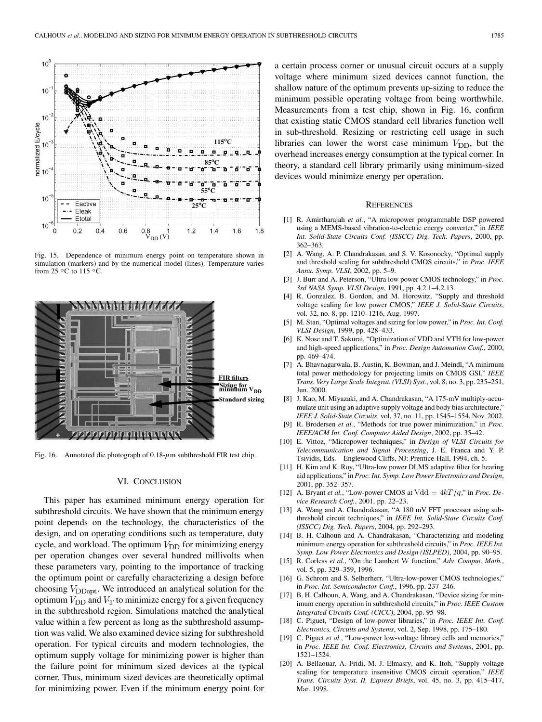<span id="page-7-0"></span>

Fig. 15. Dependence of minimum energy point on temperature shown in simulation (markers) and by the numerical model (lines). Temperature varies from 25  $\,^{\circ}$ C to 115  $\,^{\circ}$ C.



Fig. 16. Annotated die photograph of  $0.18-\mu$ m subthreshold FIR test chip.

# VI. CONCLUSION

This paper has examined minimum energy operation for subthreshold circuits. We have shown that the minimum energy point depends on the technology, the characteristics of the design, and on operating conditions such as temperature, duty cycle, and workload. The optimum  $V_{\text{DD}}$  for minimizing energy per operation changes over several hundred millivolts when these parameters vary, pointing to the importance of tracking the optimum point or carefully characterizing a design before choosing  $V_{\text{DDoot}}$ . We introduced an analytical solution for the optimum  $V_{\text{DD}}$  and  $V_{\text{T}}$  to minimize energy for a given frequency in the subthreshold region. Simulations matched the analytical value within a few percent as long as the subthreshold assumption was valid. We also examined device sizing for subthreshold operation. For typical circuits and modern technologies, the optimum supply voltage for minimizing power is higher than the failure point for minimum sized devices at the typical corner. Thus, minimum sized devices are theoretically optimal for minimizing power. Even if the minimum energy point for

a certain process corner or unusual circuit occurs at a supply voltage where minimum sized devices cannot function, the shallow nature of the optimum prevents up-sizing to reduce the minimum possible operating voltage from being worthwhile. Measurements from a test chip, shown in Fig. 16, confirm that existing static CMOS standard cell libraries function well in sub-threshold. Resizing or restricting cell usage in such libraries can lower the worst case minimum  $V_{\text{DD}}$ , but the overhead increases energy consumption at the typical corner. In theory, a standard cell library primarily using minimum-sized devices would minimize energy per operation.

#### **REFERENCES**

- [1] R. Amirtharajah *et al.*, "A micropower programmable DSP powered using a MEMS-based vibration-to-electric energy converter," in *IEEE Int. Solid-State Circuits Conf. (ISSCC) Dig. Tech. Papers*, 2000, pp. 362–363.
- [2] A. Wang, A. P. Chandrakasan, and S. V. Kosonocky, "Optimal supply and threshold scaling for subthreshold CMOS circuits," in *Proc. IEEE Annu. Symp. VLSI*, 2002, pp. 5–9.
- [3] J. Burr and A. Peterson, "Ultra low power CMOS technology," in *Proc. 3rd NASA Symp. VLSI Design*, 1991, pp. 4.2.1–4.2.13.
- [4] R. Gonzalez, B. Gordon, and M. Horowitz, "Supply and threshold voltage scaling for low power CMOS," *IEEE J. Solid-State Circuits*, vol. 32, no. 8, pp. 1210–1216, Aug. 1997.
- [5] M. Stan, "Optimal voltages and sizing for low power," in *Proc. Int. Conf. VLSI Design*, 1999, pp. 428–433.
- [6] K. Nose and T. Sakurai, "Optimization of VDD and VTH for low-power and high-speed applications," in *Proc. Design Automation Conf.*, 2000, pp. 469–474.
- [7] A. Bhavnagarwala, B. Austin, K. Bowman, and J. Meindl, "A minimum total power methodology for projecting limits on CMOS GSI," *IEEE Trans. Very Large Scale Integrat. (VLSI) Syst.*, vol. 8, no. 3, pp. 235–251, Jun. 2000.
- [8] J. Kao, M. Miyazaki, and A. Chandrakasan, "A 175-mV multiply-accumulate unit using an adaptive supply voltage and body bias architecture," *IEEE J. Solid-State Circuits*, vol. 37, no. 11, pp. 1545–1554, Nov. 2002.
- [9] R. Brodersen *et al.*, "Methods for true power minimization," in *Proc. IEEE/ACM Int. Conf. Computer Aided Design*, 2002, pp. 35–42.
- [10] E. Vittoz, "Micropower techniques," in *Design of VLSI Circuits for Telecommunication and Signal Processing*, J. E. Franca and Y. P. Tsividis, Eds. Englewood Cliffs, NJ: Prentice-Hall, 1994, ch. 5.
- [11] H. Kim and K. Roy, "Ultra-low power DLMS adaptive filter for hearing aid applications," in *Proc. Int. Symp. Low Power Electronics and Design*, 2001, pp. 352–357.
- [12] A. Bryant *et al.*, "Low-power CMOS at  $V \, \mathrm{d} \, \mathrm{d} = 4kT/q$ ," in *Proc. Device Research Conf.*, 2001, pp. 22–23.
- [13] A. Wang and A. Chandrakasan, "A 180 mV FFT processor using subthreshold circuit techniques," in *IEEE Int. Solid-State Circuits Conf. (ISSCC) Dig. Tech. Papers*, 2004, pp. 292–293.
- [14] B. H. Calhoun and A. Chandrakasan, "Characterizing and modeling minimum energy operation for subthreshold circuits," in *Proc. IEEE Int. Symp. Low Power Electronics and Design (ISLPED)*, 2004, pp. 90–95.
- [15] R. Corless *et al.*, "On the Lambert W function," *Adv. Comput. Math.*, vol. 5, pp. 329–359, 1996.
- [16] G. Schrom and S. Selberherr, "Ultra-low-power CMOS technologies," in *Proc. Int. Semiconductor Conf.*, 1996, pp. 237–246.
- [17] B. H. Calhoun, A. Wang, and A. Chandrakasan, "Device sizing for minimum energy operation in subthreshold circuits," in *Proc. IEEE Custom Integrated Circuits Conf. (CICC)*, 2004, pp. 95–98.
- [18] C. Piguet, "Design of low-power libraries," in *Proc. IEEE Int. Conf. Electronics, Circuits and Systems*, vol. 2, Sep. 1998, pp. 175–180.
- [19] C. Piguet et al., "Low-power low-voltage library cells and memories," in *Proc. IEEE Int. Conf. Electronics, Circuits and Systems*, 2001, pp. 1521–1524.
- [20] A. Bellaouar, A. Fridi, M. J. Elmasry, and K. Itoh, "Supply voltage scaling for temperature insensitive CMOS circuit operation," *IEEE Trans. Circuits Syst. II, Express Briefs*, vol. 45, no. 3, pp. 415–417, Mar. 1998.